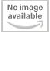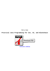**Perry Xiao**

**Practical Java Programming for Iot, AI, and Blockchain**

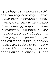We are living in an era of digital revolution. Coming, many emerging digital technologies are being created at a breath-taking swiftness. Blockchain may be the technology used to power Bitcoin and identical cryptocurrencies. This is going to fundamentally change how we live, how we work, and how exactly we socialize. Java, as a modern high-level programming language, is an excellent device for assisting us to understand these digital technologies, as well concerning develop digital applications, such as IoT, AI, Cyber Security, Blockchain and even more.We will also explore how exactly to encrypt your data using Java with types of public and private data keys, encryption, and digital signatures.Practical Java Programming will provide you with a brief overview so you can get to started with Java Programming and can dive into how you can use that knowledge and apply it to some of the largest trending applications today.Finally, we will look at how Java is growing Blockchain technologies and how you too can implement Java with regards to smart contracts and digital currencies.Practical Java Programming will show users how Java may be used in trending tech applications such as IoT (Internet of Things), AI (Artificial Intelligence), Cybersecurity, and Blockchain. Readers will dsicover firsthand how Java may be used for connected home devices, health care, and the cloud. AI is one of the most popular topics around presently. Get a firsthand launch to Java AI Libraries, and adhere to along with practical Java Deep Learning and Neural Network illustrations. This book uses Java as a tool to help visitors to learn these new digital technologies and to be better ready for the future adjustments.s connected environment. Cybersecurity is definitely on the forefront of the digital revolution and protecting your data from hackers is vital in today' Visitors will learn how to program Java to interact with os's, networking, and cellular applications, by pursuing a series of illustrations located within the reserve. Whether we like it or not really, whether we are prepared or not, digital technology are likely to penetrate increasingly more, deeper and deeper, into every part of our lives.